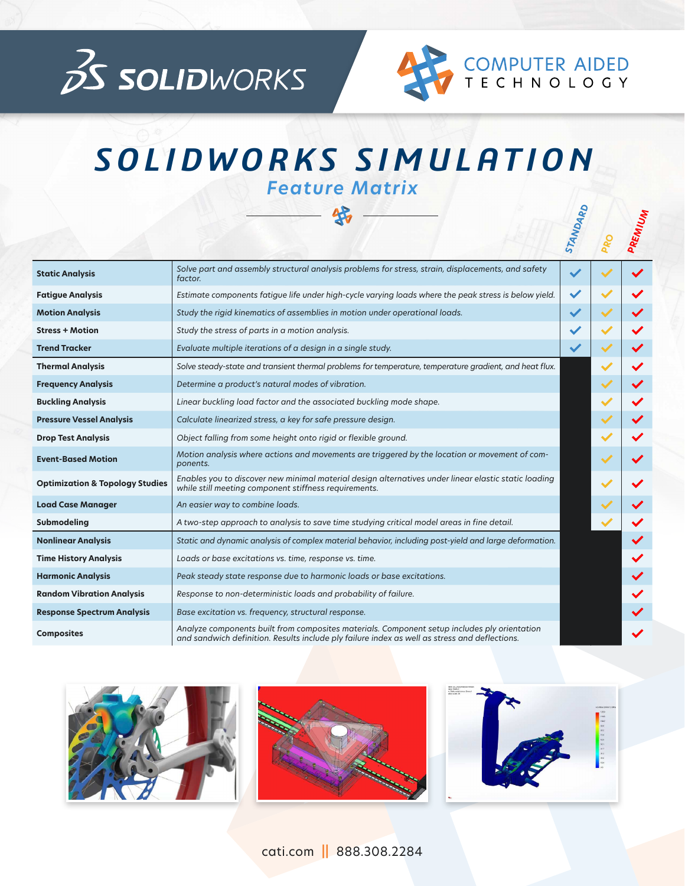



**STANDARD**

## *SOLIDWORKS SIMULATION Feature Matrix*

好

|                                            |                                                                                                                                                                                               | STANDAR      | PREMIUM |
|--------------------------------------------|-----------------------------------------------------------------------------------------------------------------------------------------------------------------------------------------------|--------------|---------|
| <b>Static Analysis</b>                     | Solve part and assembly structural analysis problems for stress, strain, displacements, and safety<br>factor.                                                                                 | $\checkmark$ |         |
| <b>Fatigue Analysis</b>                    | Estimate components fatigue life under high-cycle varying loads where the peak stress is below yield.                                                                                         | $\checkmark$ |         |
| <b>Motion Analysis</b>                     | Study the rigid kinematics of assemblies in motion under operational loads.                                                                                                                   |              |         |
| <b>Stress + Motion</b>                     | Study the stress of parts in a motion analysis.                                                                                                                                               |              |         |
| <b>Trend Tracker</b>                       | Evaluate multiple iterations of a design in a single study.                                                                                                                                   |              |         |
| <b>Thermal Analysis</b>                    | Solve steady-state and transient thermal problems for temperature, temperature gradient, and heat flux.                                                                                       |              |         |
| <b>Frequency Analysis</b>                  | Determine a product's natural modes of vibration.                                                                                                                                             |              |         |
| <b>Buckling Analysis</b>                   | Linear buckling load factor and the associated buckling mode shape.                                                                                                                           |              |         |
| <b>Pressure Vessel Analysis</b>            | Calculate linearized stress, a key for safe pressure design.                                                                                                                                  |              |         |
| <b>Drop Test Analysis</b>                  | Object falling from some height onto rigid or flexible ground.                                                                                                                                |              |         |
| <b>Event-Based Motion</b>                  | Motion analysis where actions and movements are triggered by the location or movement of com-<br>ponents.                                                                                     |              |         |
| <b>Optimization &amp; Topology Studies</b> | Enables you to discover new minimal material design alternatives under linear elastic static loading<br>while still meeting component stiffness requirements.                                 |              |         |
| <b>Load Case Manager</b>                   | An easier way to combine loads.                                                                                                                                                               |              |         |
| Submodeling                                | A two-step approach to analysis to save time studying critical model areas in fine detail.                                                                                                    |              |         |
| <b>Nonlinear Analysis</b>                  | Static and dynamic analysis of complex material behavior, including post-yield and large deformation.                                                                                         |              |         |
| <b>Time History Analysis</b>               | Loads or base excitations vs. time, response vs. time.                                                                                                                                        |              |         |
| <b>Harmonic Analysis</b>                   | Peak steady state response due to harmonic loads or base excitations.                                                                                                                         |              |         |
| <b>Random Vibration Analysis</b>           | Response to non-deterministic loads and probability of failure.                                                                                                                               |              |         |
| <b>Response Spectrum Analysis</b>          | Base excitation vs. frequency, structural response.                                                                                                                                           |              |         |
| <b>Composites</b>                          | Analyze components built from composites materials. Component setup includes ply orientation<br>and sandwich definition. Results include ply failure index as well as stress and deflections. |              |         |